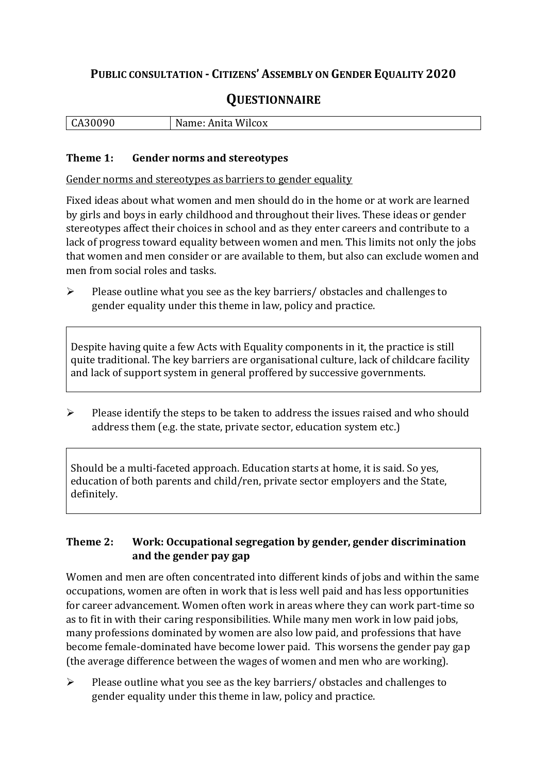# **PUBLIC CONSULTATION - CITIZENS' ASSEMBLY ON GENDER EQUALITY 2020**

# **QUESTIONNAIRE**

| $\mathbf{r}$ | Name: Anita |
|--------------|-------------|
| udon'        | Wilcox      |
|              |             |

#### **Theme 1: Gender norms and stereotypes**

Gender norms and stereotypes as barriers to gender equality

Fixed ideas about what women and men should do in the home or at work are learned by girls and boys in early childhood and throughout their lives. These ideas or gender stereotypes affect their choices in school and as they enter careers and contribute to a lack of progress toward equality between women and men. This limits not only the jobs that women and men consider or are available to them, but also can exclude women and men from social roles and tasks.

➢ Please outline what you see as the key barriers/ obstacles and challenges to gender equality under this theme in law, policy and practice.

Despite having quite a few Acts with Equality components in it, the practice is still quite traditional. The key barriers are organisational culture, lack of childcare facility and lack of support system in general proffered by successive governments.

➢ Please identify the steps to be taken to address the issues raised and who should address them (e.g. the state, private sector, education system etc.)

Should be a multi-faceted approach. Education starts at home, it is said. So yes, education of both parents and child/ren, private sector employers and the State, definitely.

#### **Theme 2: Work: Occupational segregation by gender, gender discrimination and the gender pay gap**

Women and men are often concentrated into different kinds of jobs and within the same occupations, women are often in work that is less well paid and has less opportunities for career advancement. Women often work in areas where they can work part-time so as to fit in with their caring responsibilities. While many men work in low paid jobs, many professions dominated by women are also low paid, and professions that have become female-dominated have become lower paid. This worsens the gender pay gap (the average difference between the wages of women and men who are working).

➢ Please outline what you see as the key barriers/ obstacles and challenges to gender equality under this theme in law, policy and practice.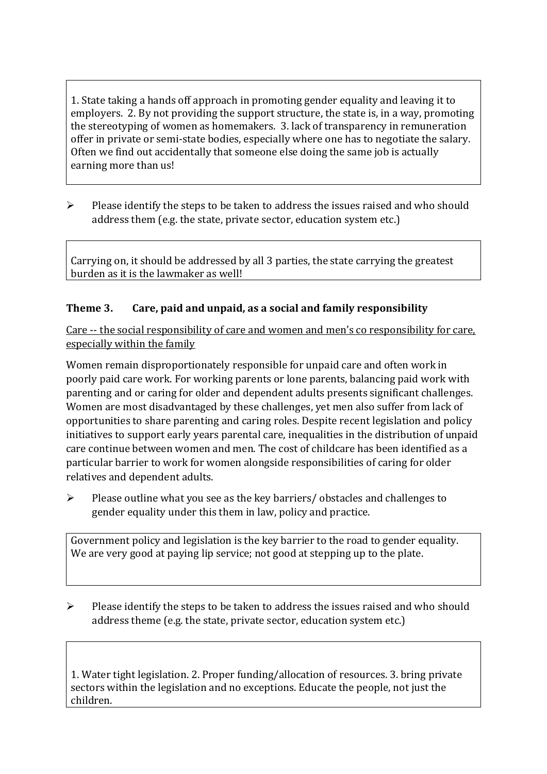1. State taking a hands off approach in promoting gender equality and leaving it to employers. 2. By not providing the support structure, the state is, in a way, promoting the stereotyping of women as homemakers. 3. lack of transparency in remuneration offer in private or semi-state bodies, especially where one has to negotiate the salary. Often we find out accidentally that someone else doing the same job is actually earning more than us!

➢ Please identify the steps to be taken to address the issues raised and who should address them (e.g. the state, private sector, education system etc.)

Carrying on, it should be addressed by all 3 parties, the state carrying the greatest burden as it is the lawmaker as well!

## **Theme 3. Care, paid and unpaid, as a social and family responsibility**

Care -- the social responsibility of care and women and men's co responsibility for care, especially within the family

Women remain disproportionately responsible for unpaid care and often work in poorly paid care work. For working parents or [lone parents,](https://aran.library.nuigalway.ie/bitstream/handle/10379/6044/Millar_and_Crosse_Activation_Report.pdf?sequence=1&isAllowed=y) balancing paid work with parenting and or caring for older and dependent adults presents significant challenges. Women are [most disadvantaged by these challenges,](https://eige.europa.eu/gender-equality-index/game/IE/W) yet men also suffer from lack of opportunities to share parenting and caring roles. Despite recent legislation and policy initiatives to support early years parental care, [inequalities in the distribution of unpaid](https://www.ihrec.ie/app/uploads/2019/07/Caring-and-Unpaid-Work-in-Ireland_Final.pdf)  [care](https://www.ihrec.ie/app/uploads/2019/07/Caring-and-Unpaid-Work-in-Ireland_Final.pdf) continue between women and men. The cost of childcare has been identified as a particular barrier to work for women alongside responsibilities of caring for older relatives and dependent adults.

➢ Please outline what you see as the key barriers/ obstacles and challenges to gender equality under this them in law, policy and practice.

Government policy and legislation is the key barrier to the road to gender equality. We are very good at paying lip service; not good at stepping up to the plate.

➢ Please identify the steps to be taken to address the issues raised and who should address theme (e.g. the state, private sector, education system etc.)

1. Water tight legislation. 2. Proper funding/allocation of resources. 3. bring private sectors within the legislation and no exceptions. Educate the people, not just the children.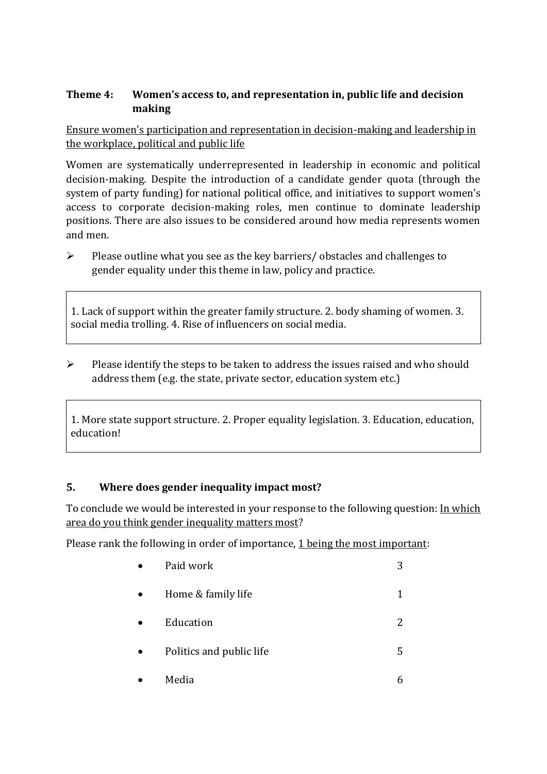### **Theme 4: Women's access to, and representation in, public life and decision making**

Ensure women's participation and representation in decision-making and leadership in the workplace, political and public life

Women are systematically underrepresented in leadership in [economic](https://eige.europa.eu/gender-equality-index/2019/compare-countries/power/2/bar) and [political](https://eige.europa.eu/gender-equality-index/2019/compare-countries/power/1/bar)  [decision-](https://eige.europa.eu/gender-equality-index/2019/compare-countries/power/1/bar)making. Despite the introduction of a candidate gender quota (through the system of party funding) for national political office, and [initiatives](https://betterbalance.ie/) to support women's access to corporate decision-making roles, men continue to dominate leadership positions. There are also issues to be considered around how media represents women and men.

➢ Please outline what you see as the key barriers/ obstacles and challenges to gender equality under this theme in law, policy and practice.

1. Lack of support within the greater family structure. 2. body shaming of women. 3. social media trolling. 4. Rise of influencers on social media.

➢ Please identify the steps to be taken to address the issues raised and who should address them (e.g. the state, private sector, education system etc.)

1. More state support structure. 2. Proper equality legislation. 3. Education, education, education!

## **5. Where does gender inequality impact most?**

To conclude we would be interested in your response to the following question: In which area do you think gender inequality matters most?

Please rank the following in order of importance, 1 being the most important:

| Paid work                | 3 |
|--------------------------|---|
| Home & family life       | 1 |
| Education                | 2 |
| Politics and public life | 5 |
| Media                    |   |